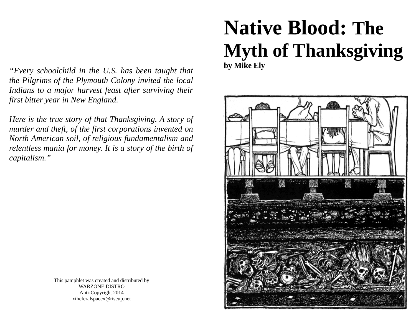*"Every schoolchild in the U.S. has been taught that the Pilgrims of the Plymouth Colony invited the local Indians to a major harvest feast after surviving their first bitter year in New England.* 

*Here is the true story of that Thanksgiving. A story of murder and theft, of the first corporations invented on North American soil, of religious fundamentalism and relentless mania for money. It is a story of the birth of capitalism."*

# **Native Blood: The Myth of Thanksgiving by Mike Ely**



This pamphlet was created and distributed by WARZONE DISTRO Anti-Copyright 2014 xtheferalspacex@riseup.net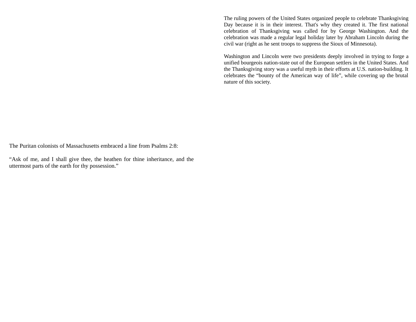The ruling powers of the United States organized people to celebrate Thanksgiving Day because it is in their interest. That's why they created it. The first national celebration of Thanksgiving was called for by George Washington. And the celebration was made a regular legal holiday later by Abraham Lincoln during the civil war (right as he sent troops to suppress the Sioux of Minnesota).

Washington and Lincoln were two presidents deeply involved in trying to forge a unified bourgeois nation-state out of the European settlers in the United States. And the Thanksgiving story was a useful myth in their efforts at U.S. nation-building. It celebrates the "bounty of the American way of life", while covering up the brutal nature of this society.

The Puritan colonists of Massachusetts embraced a line from Psalms 2:8:

"Ask of me, and I shall give thee, the heathen for thine inheritance, and the uttermost parts of the earth for thy possession."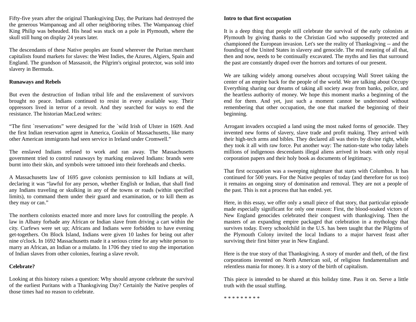Fifty-five years after the original Thanksgiving Day, the Puritans had destroyed the the generous Wampanoag and all other neighboring tribes. The Wampanoag chief King Philip was beheaded. His head was stuck on a pole in Plymouth, where the skull still hung on display 24 years later.

The descendants of these Native peoples are found wherever the Puritan merchant capitalists found markets for slaves: the West Indies, the Azures, Algiers, Spain and England. The grandson of Massasoit, the Pilgrim's original protector, was sold into slavery in Bermuda.

# **Runaways and Rebels**

But even the destruction of Indian tribal life and the enslavement of survivors brought no peace. Indians continued to resist in every available way. Their oppressors lived in terror of a revolt. And they searched for ways to end the resistance. The historian MacLeod writes:

"The first `reservations" were designed for the `wild Irish of Ulster in 1609. And the first Indian reservation agent in America, Gookin of Massachusetts, like many other American immigrants had seen service in Ireland under Cromwell."

The enslaved Indians refused to work and ran away. The Massachusetts government tried to control runaways by marking enslaved Indians: brands were burnt into their skin, and symbols were tattooed into their foreheads and cheeks.

A Massachusetts law of 1695 gave colonists permission to kill Indians at will, declaring it was "lawful for any person, whether English or Indian, that shall find any Indians traveling or skulking in any of the towns or roads (within specified limits), to command them under their guard and examination, or to kill them as they may or can."

The northern colonists enacted more and more laws for controlling the people. A law in Albany forbade any African or Indian slave from driving a cart within the city. Curfews were set up; Africans and Indians were forbidden to have evening get-togethers. On Block Island, Indians were given 10 lashes for being out after nine o'clock. In 1692 Massachusetts made it a serious crime for any white person to marry an African, an Indian or a mulatto. In 1706 they tried to stop the importation of Indian slaves from other colonies, fearing a slave revolt.

# **Celebrate?**

Looking at this history raises a question: Why should anyone celebrate the survival of the earliest Puritans with a Thanksgiving Day? Certainly the Native peoples of those times had no reason to celebrate.

# **Intro to that first occupation**

It is a deep thing that people still celebrate the survival of the early colonists at Plymouth by giving thanks to the Christian God who supposedly protected and championed the European invasion. Let's see the reality of Thanksgiving -- and the founding of the United States in slavery and genocide. The real meaning of all that, then and now, needs to be continually excavated. The myths and lies that surround the past are constantly draped over the horrors and tortures of our present.

We are talking widely among ourselves about occupying Wall Street taking the center of an empire back for the people of the world. We are talking about Occupy Everything sharing our dreams of taking all society away from banks, police, and the heartless authority of money. We hope this moment marks a beginning of the end for them. And yet, just such a moment cannot be understood without remembering that other occupation, the one that marked the beginning of their beginning.

Arrogant invaders occupied a land using the most naked forms of genocide. They invented new forms of slavery, slave trade and profit making. They arrived with their high-tech arms and bibles. They declared all was theirs by divine right, while they took it all with raw force. Put another way: The nation-state who today labels millions of indigenous descendants illegal aliens arrived in boats with only royal corporation papers and their holy book as documents of legitimacy.

That first occupation was a sweeping nightmare that starts with Columbus. It has continued for 500 years. For the Native peoples of today (and therefore for us too) it remains an ongoing story of domination and removal. They are not a people of the past. This is not a process that has ended. yet.

Here, in this essay, we offer only a small piece of that story, that particular episode made especially significant for only one reason: First, the blood-soaked victors of New England genocides celebrated their conquest with thanksgiving. Then the masters of an expanding empire packaged that celebration in a mythology that survives today. Every schoolchild in the U.S. has been taught that the Pilgrims of the Plymouth Colony invited the local Indians to a major harvest feast after surviving their first bitter year in New England.

Here is the true story of that Thanksgiving. A story of murder and theft, of the first corporations invented on North American soil, of religious fundamentalism and relentless mania for money. It is a story of the birth of capitalism.

This piece is intended to be shared at this holiday time. Pass it on. Serve a little truth with the usual stuffing.

\* \* \* \* \* \* \* \* \*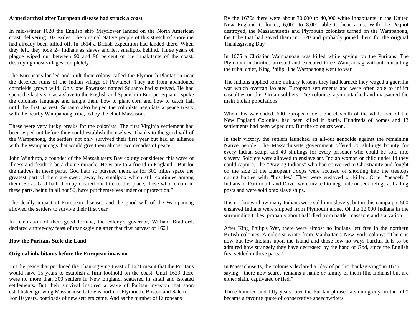#### **Armed arrival after European disease had struck a coast**

In mid-winter 1620 the English ship Mayflower landed on the North American coast, delivering 102 exiles. The original Native people of this stretch of shoreline had already been killed off. In 1614 a British expedition had landed there. When they left, they took 24 Indians as slaves and left smallpox behind. Three years of plague wiped out between 90 and 96 percent of the inhabitants of the coast, destroying most villages completely.

The Europeans landed and built their colony called the Plymouth Plantation near the deserted ruins of the Indian village of Pawtuxet. They ate from abandoned cornfields grown wild. Only one Pawtuxet named Squanto had survived. He had spent the last years as a slave to the English and Spanish in Europe. Squanto spoke the colonists language and taught them how to plant corn and how to catch fish until the first harvest. Squanto also helped the colonists negotiate a peace treaty with the nearby Wampanoag tribe, led by the chief Massasoit.

These were very lucky breaks for the colonists. The first Virginia settlement had been wiped out before they could establish themselves. Thanks to the good will of the Wampanoag, the settlers not only survived their first year but had an alliance with the Wampanoags that would give them almost two decades of peace.

John Winthrop, a founder of the Massahusetts Bay colony considered this wave of illness and death to be a divine miracle. He wrote to a friend in England, "But for the natives in these parts, God hath so pursued them, as for 300 miles space the greatest part of them are swept away by smallpox which still continues among them. So as God hath thereby cleared our title to this place, those who remain in these parts, being in all not 50, have put themselves under our protection."

The deadly impact of European diseases and the good will of the Wampanoag allowed the settlers to survive their first year.

In celebration of their good fortune, the colony's governor, William Bradford, declared a three-day feast of thanksgiving after that first harvest of 1621.

#### **How the Puritans Stole the Land**

#### **Original inhabitants before the European invasion**

But the peace that produced the Thanksgiving Feast of 1621 meant that the Puritans would have 15 years to establish a firm foothold on the coast. Until 1629 there were no more than 300 settlers in New England, scattered in small and isolated settlements. But their survival inspired a wave of Puritan invasion that soon established growing Massachusetts towns north of Plymouth: Boston and Salem. For 10 years, boatloads of new settlers came. And as the number of Europeans

By the 1670s there were about 30,000 to 40,000 white inhabitants in the United New England Colonies, 6,000 to 8,000 able to bear arms. With the Pequot destroyed, the Massachusetts and Plymouth colonists turned on the Wampanoag, the tribe that had saved them in 1620 and probably joined them for the original Thanksgiving Day.

In 1675 a Christian Wampanoag was killed while spying for the Puritans. The Plymouth authorities arrested and executed three Wampanoag without consulting the tribal chief, King Philip. The Wampanoag went to war.

The Indians applied some military lessons they had learned: they waged a guerrilla war which overran isolated European settlements and were often able to inflict casualties on the Puritan soldiers. The colonists again attacked and massacred the main Indian populations.

When this war ended, 600 European men, one-eleventh of the adult men of the New England Colonies, had been killed in battle. Hundreds of homes and 13 settlements had been wiped out. But the colonists won.

In their victory, the settlers launched an all-out genocide against the remaining Native people. The Massachusetts government offered 20 shillings bounty for every Indian scalp, and 40 shillings for every prisoner who could be sold into slavery. Soldiers were allowed to enslave any Indian woman or child under 14 they could capture. The "Praying Indians" who had converted to Christianity and fought on the side of the European troops were accused of shooting into the treetops during battles with "hostiles." They were enslaved or killed. Other "peaceful" Indians of Dartmouth and Dover were invited to negotiate or seek refuge at trading posts and were sold onto slave ships.

It is not known how many Indians were sold into slavery, but in this campaign, 500 enslaved Indians were shipped from Plymouth alone. Of the 12,000 Indians in the surrounding tribes, probably about half died from battle, massacre and starvation.

After King Philip's War, there were almost no Indians left free in the northern British colonies. A colonist wrote from Manhattan's New York colony: "There is now but few Indians upon the island and those few no ways hurtful. It is to be admired how strangely they have decreased by the hand of God, since the English first settled in these parts."

In Massachusetts, the colonists declared a "day of public thanksgiving" in 1676, saying, "there now scarce remains a name or family of them [the Indians] but are either slain, captivated or fled."

Three hundred and fifty years later the Puritan phrase "a shining city on the hill" became a favorite quote of conservative speechwriters.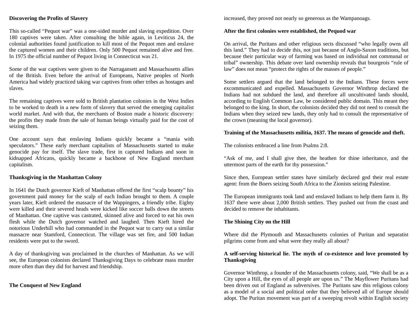# **Discovering the Profits of Slavery**

This so-called "Pequot war" was a one-sided murder and slaving expedition. Over 180 captives were taken. After consulting the bible again, in Leviticus 24, the colonial authorities found justification to kill most of the Pequot men and enslave the captured women and their children. Only 500 Pequot remained alive and free. In 1975 the official number of Pequot living in Connecticut was 21.

Some of the war captives were given to the Narragansett and Massachusetts allies of the British. Even before the arrival of Europeans, Native peoples of North America had widely practiced taking war captives from other tribes as hostages and slaves.

The remaining captives were sold to British plantation colonies in the West Indies to be worked to death in a new form of slavery that served the emerging capitalist world market. And with that, the merchants of Boston made a historic discovery: the profits they made from the sale of human beings virtually paid for the cost of seizing them.

One account says that enslaving Indians quickly became a "mania with speculators." These early merchant capitalists of Massachusetts started to make genocide pay for itself. The slave trade, first in captured Indians and soon in kidnapped Africans, quickly became a backbone of New England merchant capitalism.

#### **Thanksgiving in the Manhattan Colony**

In 1641 the Dutch governor Kieft of Manhattan offered the first "scalp bounty" his government paid money for the scalp of each Indian brought to them. A couple years later, Kieft ordered the massacre of the Wappingers, a friendly tribe. Eighty were killed and their severed heads were kicked like soccer balls down the streets of Manhattan. One captive was castrated, skinned alive and forced to eat his own flesh while the Dutch governor watched and laughed. Then Kieft hired the notorious Underhill who had commanded in the Pequot war to carry out a similar massacre near Stamford, Connecticut. The village was set fire, and 500 Indian residents were put to the sword.

A day of thanksgiving was proclaimed in the churches of Manhattan. As we will see, the European colonists declared Thanksgiving Days to celebrate mass murder more often than they did for harvest and friendship.

# **The Conquest of New England**

increased, they proved not nearly so generous as the Wampanoags.

#### **After the first colonies were established, the Pequod war**

On arrival, the Puritans and other religious sects discussed "who legally owns all this land." They had to decide this, not just because of Anglo-Saxon traditions, but because their particular way of farming was based on individual not communal or tribal" ownership. This debate over land ownership reveals that bourgeois "rule of law" does not mean "protect the rights of the masses of people."

Some settlers argued that the land belonged to the Indians. These forces were excommunicated and expelled. Massachusetts Governor Winthrop declared the Indians had not subdued the land, and therefore all uncultivated lands should, according to English Common Law, be considered public domain. This meant they belonged to the king. In short, the colonists decided they did not need to consult the Indians when they seized new lands, they only had to consult the representative of the crown (meaning the local governor).

# **Training of the Massachusetts militia, 1637. The means of genocide and theft.**

The colonists embraced a line from Psalms 2:8.

"Ask of me, and I shall give thee, the heathen for thine inheritance, and the uttermost parts of the earth for thy possession."

Since then, European settler states have similarly declared god their real estate agent: from the Boers seizing South Africa to the Zionists seizing Palestine.

The European immigrants took land and enslaved Indians to help them farm it. By 1637 there were about 2,000 British settlers. They pushed out from the coast and decided to remove the inhabitants.

# **The Shining City on the Hill**

Where did the Plymouth and Massachusetts colonies of Puritan and separatist pilgrims come from and what were they really all about?

# **A self-serving historical lie. The myth of co-existence and love promoted by Thanksgiving**

Governor Winthrop, a founder of the Massachusetts colony, said, "We shall be as a City upon a Hill, the eyes of all people are upon us." The Mayflower Puritans had been driven out of England as subversives. The Puritans saw this religious colony as a model of a social and political order that they believed all of Europe should adopt. The Puritan movement was part of a sweeping revolt within English society